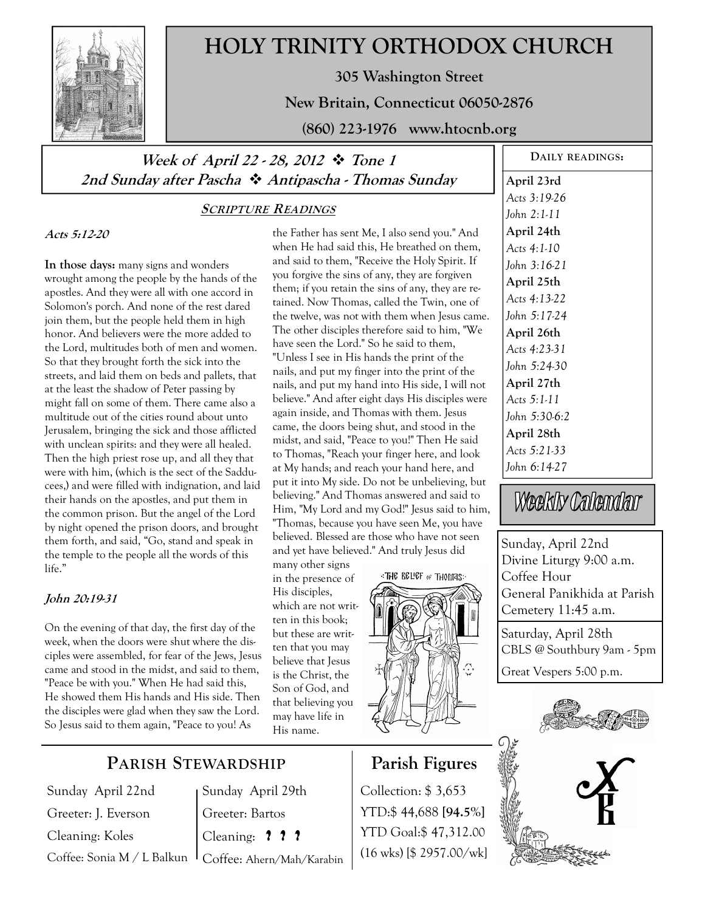

# **HOLY TRINITY ORTHODOX CHURCH**

**305 Washington Street** 

**New Britain, Connecticut 06050-2876** 

**(860) 223-1976 www.htocnb.org** 

## Week of April 22 - 28, 2012  $\cdot \cdot$  Tone 1 **2nd Sunday after Pascha Antipascha - Thomas Sunday**

#### **SCRIPTURE READINGS**

**Acts 5:12-20** 

**In those days:** many signs and wonders wrought among the people by the hands of the apostles. And they were all with one accord in Solomon's porch. And none of the rest dared join them, but the people held them in high honor. And believers were the more added to the Lord, multitudes both of men and women. So that they brought forth the sick into the streets, and laid them on beds and pallets, that at the least the shadow of Peter passing by might fall on some of them. There came also a multitude out of the cities round about unto Jerusalem, bringing the sick and those afflicted with unclean spirits: and they were all healed. Then the high priest rose up, and all they that were with him, (which is the sect of the Sadducees,) and were filled with indignation, and laid their hands on the apostles, and put them in the common prison. But the angel of the Lord by night opened the prison doors, and brought them forth, and said, "Go, stand and speak in the temple to the people all the words of this life."

#### **John 20:19-31**

On the evening of that day, the first day of the week, when the doors were shut where the disciples were assembled, for fear of the Jews, Jesus came and stood in the midst, and said to them, "Peace be with you." When He had said this, He showed them His hands and His side. Then the disciples were glad when they saw the Lord. So Jesus said to them again, "Peace to you! As

the Father has sent Me, I also send you." And when He had said this, He breathed on them, and said to them, "Receive the Holy Spirit. If you forgive the sins of any, they are forgiven them; if you retain the sins of any, they are retained. Now Thomas, called the Twin, one of the twelve, was not with them when Jesus came. The other disciples therefore said to him, "We have seen the Lord." So he said to them, "Unless I see in His hands the print of the nails, and put my finger into the print of the nails, and put my hand into His side, I will not believe." And after eight days His disciples were again inside, and Thomas with them. Jesus came, the doors being shut, and stood in the midst, and said, "Peace to you!" Then He said to Thomas, "Reach your finger here, and look at My hands; and reach your hand here, and put it into My side. Do not be unbelieving, but believing." And Thomas answered and said to Him, "My Lord and my God!" Jesus said to him, "Thomas, because you have seen Me, you have believed. Blessed are those who have not seen and yet have believed." And truly Jesus did

many other signs in the presence of His disciples, which are not written in this book; but these are written that you may believe that Jesus is the Christ, the Son of God, and that believing you may have life in His name.



## **Parish Figures**  Collection: \$ 3,653

YTD:\$ 44,688 **[94.5%]** YTD Goal:\$ 47,312.00 (16 wks) [\$ 2957.00/wk]

**DAILY READINGS: April 23rd**  *Acts 3:19-26 John 2:1-11*  **April 24th**  *Acts 4:1-10 John 3:16-21*  **April 25th**  *Acts 4:13-22 John 5:17-24*  **April 26th**  *Acts 4:23-31 John 5:24-30*  **April 27th**  *Acts 5:1-11 John 5:30-6:2*  **April 28th**  *Acts 5:21-33 John 6:14-27* 

Weekly Calendar

Sunday, April 22nd Divine Liturgy 9:00 a.m. Coffee Hour General Panikhida at Parish Cemetery 11:45 a.m.

Saturday, April 28th CBLS @ Southbury 9am - 5pm

Great Vespers 5:00 p.m.





## **PARISH STEWARDSHIP**

Sunday April 22nd Greeter: J. Everson Cleaning: Koles Coffee: Sonia M / L Balkun

Sunday April 29th Greeter: Bartos Cleaning: **? ? ?** Coffee: Ahern/Mah/Karabin